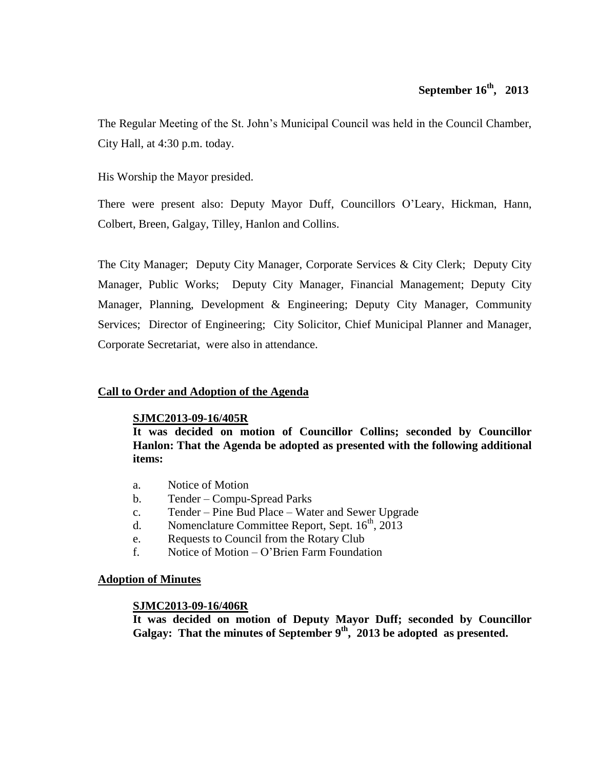# **September 16th , 2013**

The Regular Meeting of the St. John's Municipal Council was held in the Council Chamber, City Hall, at 4:30 p.m. today.

His Worship the Mayor presided.

There were present also: Deputy Mayor Duff, Councillors O'Leary, Hickman, Hann, Colbert, Breen, Galgay, Tilley, Hanlon and Collins.

The City Manager; Deputy City Manager, Corporate Services & City Clerk; Deputy City Manager, Public Works; Deputy City Manager, Financial Management; Deputy City Manager, Planning, Development & Engineering; Deputy City Manager, Community Services; Director of Engineering; City Solicitor, Chief Municipal Planner and Manager, Corporate Secretariat, were also in attendance.

## **Call to Order and Adoption of the Agenda**

### **SJMC2013-09-16/405R**

**It was decided on motion of Councillor Collins; seconded by Councillor Hanlon: That the Agenda be adopted as presented with the following additional items:**

- a. Notice of Motion
- b. Tender Compu-Spread Parks
- c. Tender Pine Bud Place Water and Sewer Upgrade
- d. Nomenclature Committee Report, Sept.  $16<sup>th</sup>$ , 2013
- e. Requests to Council from the Rotary Club
- f. Notice of Motion O'Brien Farm Foundation

### **Adoption of Minutes**

### **SJMC2013-09-16/406R**

**It was decided on motion of Deputy Mayor Duff; seconded by Councillor Galgay: That the minutes of September 9 th , 2013 be adopted as presented.**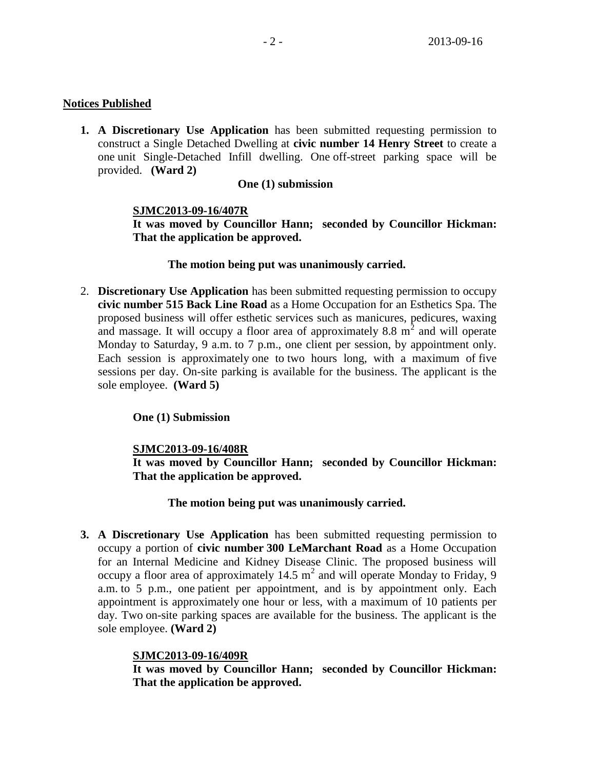## **Notices Published**

**1. A Discretionary Use Application** has been submitted requesting permission to construct a Single Detached Dwelling at **civic number 14 Henry Street** to create a one unit Single-Detached Infill dwelling. One off-street parking space will be provided. **(Ward 2)**

## **One (1) submission**

## **SJMC2013-09-16/407R**

**It was moved by Councillor Hann; seconded by Councillor Hickman: That the application be approved.**

### **The motion being put was unanimously carried.**

2. **Discretionary Use Application** has been submitted requesting permission to occupy **civic number 515 Back Line Road** as a Home Occupation for an Esthetics Spa. The proposed business will offer esthetic services such as manicures, pedicures, waxing and massage. It will occupy a floor area of approximately  $8.8 \text{ m}^2$  and will operate Monday to Saturday, 9 a.m. to 7 p.m., one client per session, by appointment only. Each session is approximately one to two hours long, with a maximum of five sessions per day. On-site parking is available for the business. The applicant is the sole employee. **(Ward 5)**

### **One (1) Submission**

## **SJMC2013-09-16/408R**

**It was moved by Councillor Hann; seconded by Councillor Hickman: That the application be approved.**

### **The motion being put was unanimously carried.**

**3. A Discretionary Use Application** has been submitted requesting permission to occupy a portion of **civic number 300 LeMarchant Road** as a Home Occupation for an Internal Medicine and Kidney Disease Clinic. The proposed business will occupy a floor area of approximately 14.5  $m^2$  and will operate Monday to Friday, 9 a.m. to 5 p.m., one patient per appointment, and is by appointment only. Each appointment is approximately one hour or less, with a maximum of 10 patients per day. Two on-site parking spaces are available for the business. The applicant is the sole employee. **(Ward 2)**

### **SJMC2013-09-16/409R**

**It was moved by Councillor Hann; seconded by Councillor Hickman: That the application be approved.**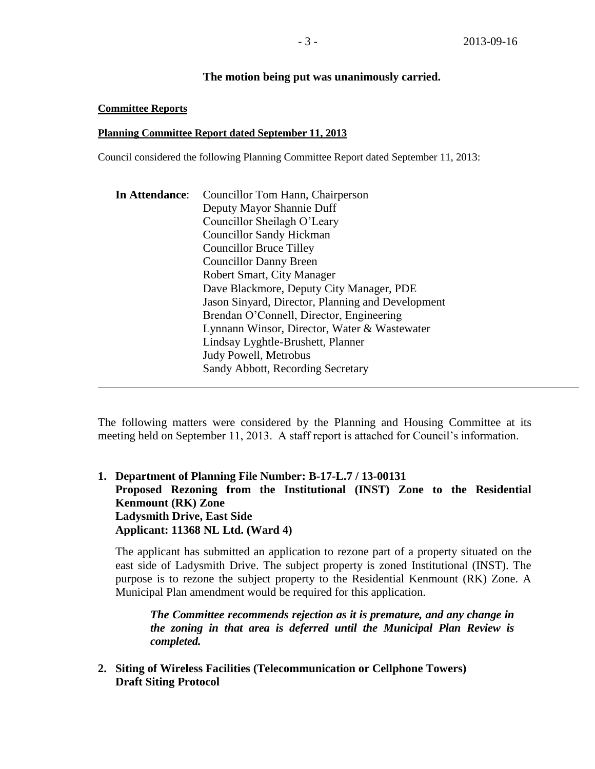### **The motion being put was unanimously carried.**

### **Committee Reports**

### **Planning Committee Report dated September 11, 2013**

Council considered the following Planning Committee Report dated September 11, 2013:

| In Attendance: | Councillor Tom Hann, Chairperson                                                                                                  |  |  |  |
|----------------|-----------------------------------------------------------------------------------------------------------------------------------|--|--|--|
|                | Deputy Mayor Shannie Duff                                                                                                         |  |  |  |
|                | Councillor Sheilagh O'Leary<br><b>Councillor Sandy Hickman</b><br><b>Councillor Bruce Tilley</b><br><b>Councillor Danny Breen</b> |  |  |  |
|                |                                                                                                                                   |  |  |  |
|                |                                                                                                                                   |  |  |  |
|                |                                                                                                                                   |  |  |  |
|                | Robert Smart, City Manager<br>Dave Blackmore, Deputy City Manager, PDE                                                            |  |  |  |
|                |                                                                                                                                   |  |  |  |
|                | Jason Sinyard, Director, Planning and Development                                                                                 |  |  |  |
|                | Brendan O'Connell, Director, Engineering                                                                                          |  |  |  |
|                | Lynnann Winsor, Director, Water & Wastewater                                                                                      |  |  |  |
|                | Lindsay Lyghtle-Brushett, Planner                                                                                                 |  |  |  |
|                | <b>Judy Powell, Metrobus</b>                                                                                                      |  |  |  |
|                | Sandy Abbott, Recording Secretary                                                                                                 |  |  |  |
|                |                                                                                                                                   |  |  |  |

The following matters were considered by the Planning and Housing Committee at its meeting held on September 11, 2013. A staff report is attached for Council's information.

**1. Department of Planning File Number: B-17-L.7 / 13-00131 Proposed Rezoning from the Institutional (INST) Zone to the Residential Kenmount (RK) Zone Ladysmith Drive, East Side Applicant: 11368 NL Ltd. (Ward 4)**

The applicant has submitted an application to rezone part of a property situated on the east side of Ladysmith Drive. The subject property is zoned Institutional (INST). The purpose is to rezone the subject property to the Residential Kenmount (RK) Zone. A Municipal Plan amendment would be required for this application.

*The Committee recommends rejection as it is premature, and any change in the zoning in that area is deferred until the Municipal Plan Review is completed.* 

**2. Siting of Wireless Facilities (Telecommunication or Cellphone Towers) Draft Siting Protocol**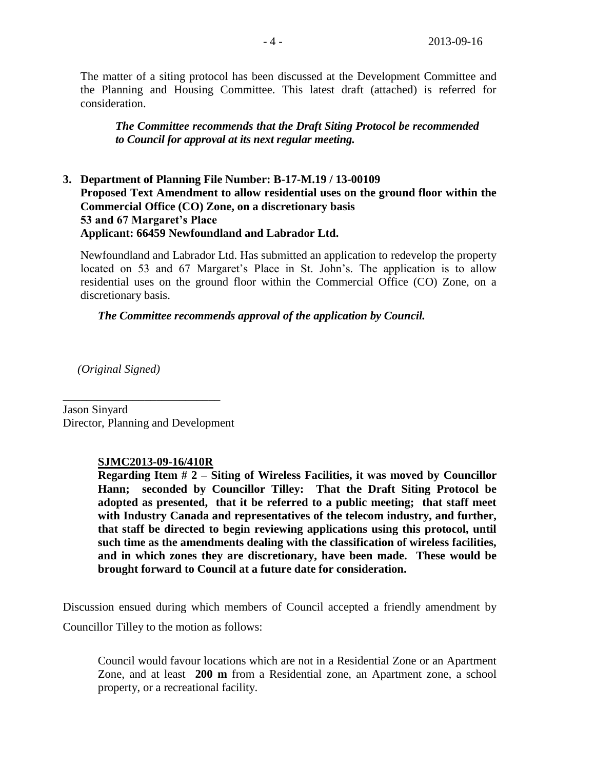The matter of a siting protocol has been discussed at the Development Committee and the Planning and Housing Committee. This latest draft (attached) is referred for consideration.

*The Committee recommends that the Draft Siting Protocol be recommended to Council for approval at its next regular meeting.*

## **3. Department of Planning File Number: B-17-M.19 / 13-00109 Proposed Text Amendment to allow residential uses on the ground floor within the Commercial Office (CO) Zone, on a discretionary basis 53 and 67 Margaret's Place Applicant: 66459 Newfoundland and Labrador Ltd.**

Newfoundland and Labrador Ltd. Has submitted an application to redevelop the property located on 53 and 67 Margaret's Place in St. John's. The application is to allow residential uses on the ground floor within the Commercial Office (CO) Zone, on a discretionary basis.

### *The Committee recommends approval of the application by Council.*

 *(Original Signed)*

Jason Sinyard Director, Planning and Development

\_\_\_\_\_\_\_\_\_\_\_\_\_\_\_\_\_\_\_\_\_\_\_\_\_\_\_

### **SJMC2013-09-16/410R**

**Regarding Item # 2 – Siting of Wireless Facilities, it was moved by Councillor Hann; seconded by Councillor Tilley: That the Draft Siting Protocol be adopted as presented, that it be referred to a public meeting; that staff meet with Industry Canada and representatives of the telecom industry, and further, that staff be directed to begin reviewing applications using this protocol, until such time as the amendments dealing with the classification of wireless facilities, and in which zones they are discretionary, have been made. These would be brought forward to Council at a future date for consideration.**

Discussion ensued during which members of Council accepted a friendly amendment by Councillor Tilley to the motion as follows:

Council would favour locations which are not in a Residential Zone or an Apartment Zone, and at least **200 m** from a Residential zone, an Apartment zone, a school property, or a recreational facility.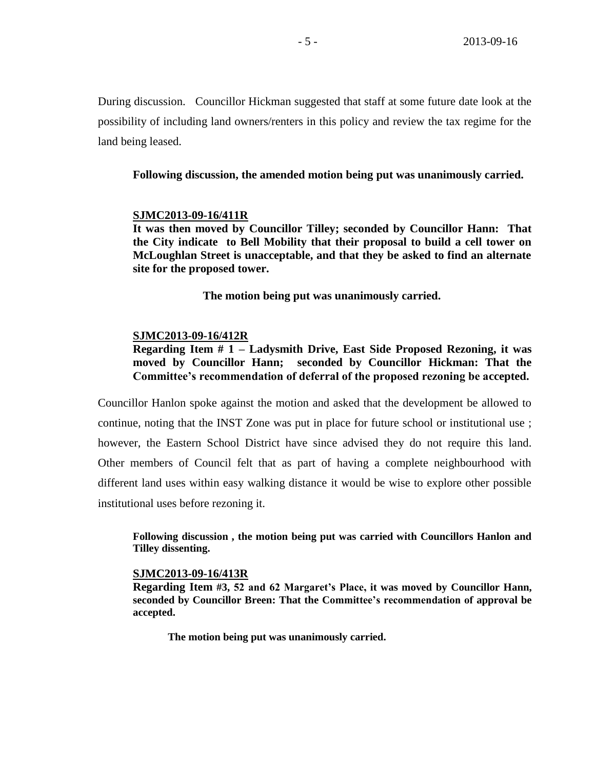During discussion. Councillor Hickman suggested that staff at some future date look at the possibility of including land owners/renters in this policy and review the tax regime for the land being leased.

**Following discussion, the amended motion being put was unanimously carried.**

### **SJMC2013-09-16/411R**

**It was then moved by Councillor Tilley; seconded by Councillor Hann: That the City indicate to Bell Mobility that their proposal to build a cell tower on McLoughlan Street is unacceptable, and that they be asked to find an alternate site for the proposed tower.**

**The motion being put was unanimously carried.**

### **SJMC2013-09-16/412R**

**Regarding Item # 1 – Ladysmith Drive, East Side Proposed Rezoning, it was moved by Councillor Hann; seconded by Councillor Hickman: That the Committee's recommendation of deferral of the proposed rezoning be accepted.**

Councillor Hanlon spoke against the motion and asked that the development be allowed to continue, noting that the INST Zone was put in place for future school or institutional use ; however, the Eastern School District have since advised they do not require this land. Other members of Council felt that as part of having a complete neighbourhood with different land uses within easy walking distance it would be wise to explore other possible institutional uses before rezoning it.

**Following discussion , the motion being put was carried with Councillors Hanlon and Tilley dissenting.**

### **SJMC2013-09-16/413R**

**Regarding Item #3, 52 and 62 Margaret's Place, it was moved by Councillor Hann, seconded by Councillor Breen: That the Committee's recommendation of approval be accepted.**

**The motion being put was unanimously carried.**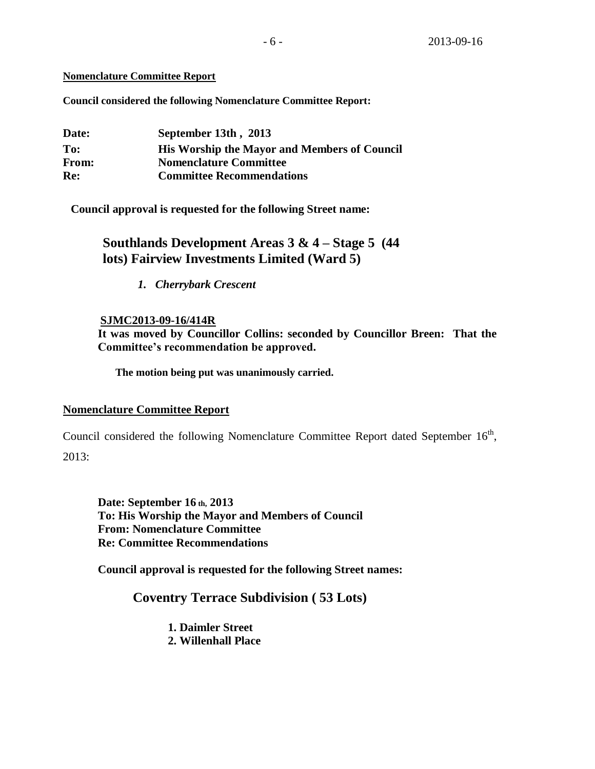### **Nomenclature Committee Report**

**Council considered the following Nomenclature Committee Report:** 

| Date: | September 13th, 2013                                |
|-------|-----------------------------------------------------|
| To:   | <b>His Worship the Mayor and Members of Council</b> |
| From: | <b>Nomenclature Committee</b>                       |
| Re:   | <b>Committee Recommendations</b>                    |

**Council approval is requested for the following Street name:**

# **Southlands Development Areas 3 & 4 – Stage 5 (44 lots) Fairview Investments Limited (Ward 5)**

*1. Cherrybark Crescent*

## **SJMC2013-09-16/414R**

**It was moved by Councillor Collins: seconded by Councillor Breen: That the Committee's recommendation be approved.**

**The motion being put was unanimously carried.**

### **Nomenclature Committee Report**

Council considered the following Nomenclature Committee Report dated September  $16<sup>th</sup>$ ,  $2013:$ 

**Date: September 16 th, 2013 To: His Worship the Mayor and Members of Council From: Nomenclature Committee Re: Committee Recommendations**

**Council approval is requested for the following Street names:**

## **Coventry Terrace Subdivision ( 53 Lots)**

**1. Daimler Street 2. Willenhall Place**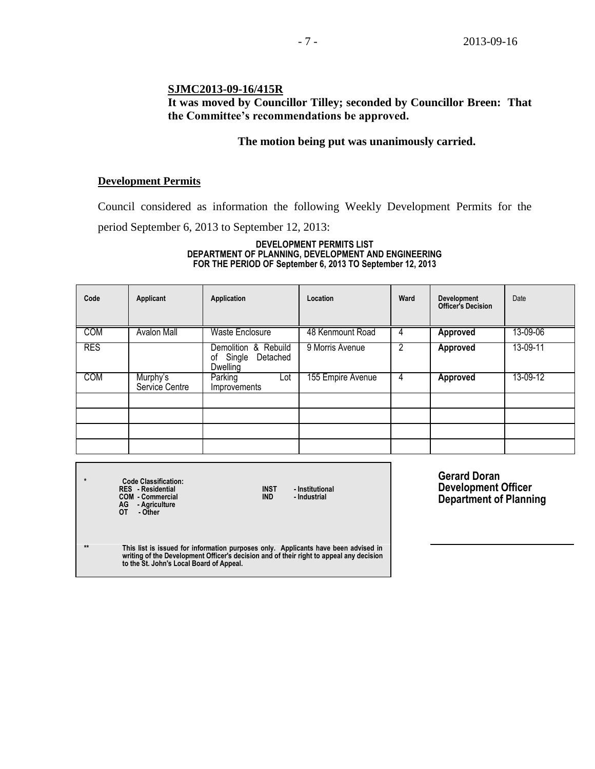## **SJMC2013-09-16/415R**

## **It was moved by Councillor Tilley; seconded by Councillor Breen: That the Committee's recommendations be approved.**

## **The motion being put was unanimously carried.**

### **Development Permits**

Council considered as information the following Weekly Development Permits for the period September 6, 2013 to September 12, 2013:

#### **DEVELOPMENT PERMITS LIST DEPARTMENT OF PLANNING, DEVELOPMENT AND ENGINEERING FOR THE PERIOD OF September 6, 2013 TO September 12, 2013**

| Code       | Applicant                  | Application                                                  | Location          | Ward | Development<br><b>Officer's Decision</b> | Date     |
|------------|----------------------------|--------------------------------------------------------------|-------------------|------|------------------------------------------|----------|
| <b>COM</b> | <b>Avalon Mall</b>         | <b>Waste Enclosure</b>                                       | 48 Kenmount Road  | 4    | Approved                                 | 13-09-06 |
| <b>RES</b> |                            | Demolition & Rebuild<br>Single<br>Detached<br>of<br>Dwelling | 9 Morris Avenue   | 2    | Approved                                 | 13-09-11 |
| <b>COM</b> | Murphy's<br>Service Centre | Parking<br>Lot<br>Improvements                               | 155 Empire Avenue | 4    | Approved                                 | 13-09-12 |
|            |                            |                                                              |                   |      |                                          |          |
|            |                            |                                                              |                   |      |                                          |          |
|            |                            |                                                              |                   |      |                                          |          |

| $\star$      | <b>Code Classification:</b><br><b>RES</b> - Residential<br><b>INST</b><br>- Institutional<br><b>COM - Commercial</b><br>- Industrial<br><b>IND</b><br>AG - Agriculture<br>OТ<br>- Other                                   |
|--------------|---------------------------------------------------------------------------------------------------------------------------------------------------------------------------------------------------------------------------|
| $\star\star$ | This list is issued for information purposes only. Applicants have been advised in<br>writing of the Development Officer's decision and of their right to appeal any decision<br>to the St. John's Local Board of Appeal. |

**Gerard Doran Development Officer Department of Planning**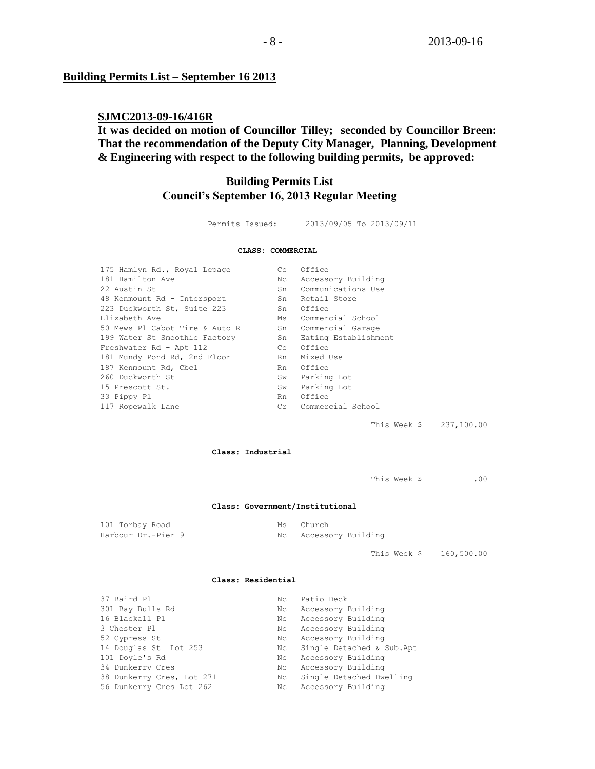### **Building Permits List – September 16 2013**

## **SJMC2013-09-16/416R**

**It was decided on motion of Councillor Tilley; seconded by Councillor Breen: That the recommendation of the Deputy City Manager, Planning, Development & Engineering with respect to the following building permits, be approved:**

## **Building Permits List Council's September 16, 2013 Regular Meeting**

| Permits Issued: | 2013/09/05 To 2013/09/11 |
|-----------------|--------------------------|
|                 |                          |

#### **CLASS: COMMERCIAL**

| Co | Office               |
|----|----------------------|
| Nc | Accessory Building   |
| Sn | Communications Use   |
| Sn | Retail Store         |
| Sn | Office               |
| Ms | Commercial School    |
| Sn | Commercial Garage    |
| Sn | Eating Establishment |
| Co | Office               |
| Rn | Mixed Use            |
| Rn | Office               |
| Sw | Parking Lot          |
| Sw | Parking Lot          |
| Rn | Office               |
| Cr | Commercial School    |
|    |                      |

This Week \$ 237,100.00

**Class: Industrial**

This Week \$ .00

#### **Class: Government/Institutional**

| 101 Torbay Road    | Ms Church             |
|--------------------|-----------------------|
| Harbour Dr.-Pier 9 | Nc Accessory Building |

This Week \$ 160,500.00

#### **Class: Residential**

| 37 Baird Pl               | Nc  | Patio Deck                |
|---------------------------|-----|---------------------------|
| 301 Bay Bulls Rd          | Nc  | Accessory Building        |
| 16 Blackall Pl            | Nc. | Accessory Building        |
| 3 Chester Pl              | Nc  | Accessory Building        |
| 52 Cypress St             | Nc  | Accessory Building        |
| 14 Douglas St Lot 253     | Nc  | Single Detached & Sub.Apt |
| 101 Doyle's Rd            | Nc  | Accessory Building        |
| 34 Dunkerry Cres          | Nc. | Accessory Building        |
| 38 Dunkerry Cres, Lot 271 | Nc  | Single Detached Dwelling  |
| 56 Dunkerry Cres Lot 262  | Nc  | Accessory Building        |
|                           |     |                           |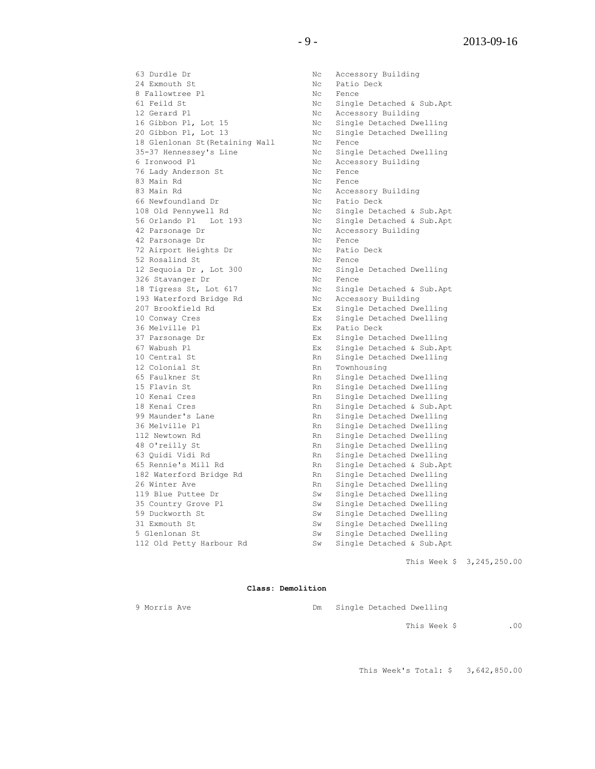63 Durdle Dr Nc Accessory Building 24 Exmouth St Nc Patio Deck 8 Fallowtree Pl Nc Fence 61 Feild St No Gingle Detached & Sub.Apt 12 Gerard Pl No Recessory Building 16 Gibbon Pl, Lot 15 Nc Single Detached Dwelling 20 Gibbon Pl, Lot 13 Nc Single Detached Dwelling 18 Glenlonan St(Retaining Wall Nc Fence 35-37 Hennessey's Line Nc Single Detached Dwelling 6 Ironwood Pl Nc Accessory Building 76 Lady Anderson St No Rence 83 Main Rd No No Fence 83 Main Rd No Recessory Building 66 Newfoundland Dr Nc Patio Deck 108 Old Pennywell Rd Nc Single Detached & Sub.Apt 56 Orlando Pl Lot 193 Nc Single Detached & Sub.Apt 42 Parsonage Dr Nc Accessory Building 42 Parsonage Dr Nc Fence 42 Parsonage Dr Nc Pence<br>
72 Airport Heights Dr Nc Patio Deck<br>
Nc Patio Deck 52 Rosalind St Nc Fence 12 Sequoia Dr, Lot 300 Nc Single Detached Dwelling 326 Stavanger Dr Nc Fence 18 Tigress St, Lot 617 Nc Single Detached & Sub.Apt 193 Waterford Bridge Rd Nc Accessory Building 207 Brookfield Rd Ex Single Detached Dwelling 10 Conway Cres Ex Single Detached Dwelling 36 Melville Pl **EX** Patio Deck 37 Parsonage Dr Ex Single Detached Dwelling 67 Wabush Pl Ex Single Detached & Sub.Apt 10 Central St **Rn** Single Detached Dwelling 12 Colonial St Rn Townhousing 65 Faulkner St Rn Single Detached Dwelling 15 Flavin St Rn Single Detached Dwelling 10 Kenai Cres **RAN Single Detached Dwelling** 18 Kenai Cres **Rn** Single Detached & Sub.Apt Rn Single Detached & Sub.Apt 39 Maunder's Lane 99 Maunder's Lane Rn Single Detached Dwelling<br>36 Melville Pl Merchand Rn Single Detached Dwelling 36 Melville Pl Rn Single Detached Dwelling 112 Newtown Rd Rn Single Detached Dwelling 48 O'reilly St Rn Single Detached Dwelling 63 Quidi Vidi Rd Rn Single Detached Dwelling 65 Rennie's Mill Rd Rn Single Detached & Sub.Apt 182 Waterford Bridge Rd and Rn Single Detached Dwelling 26 Winter Ave **Room Communist Communist Communist Communist Communist Communist Communist Communist Communist Communist Communist Communist Communist Communist Communist Communist Communist Communist Communist Communist Co** 119 Blue Puttee Dr Sw Single Detached Dwelling 35 Country Grove Pl<br>
35 Country Grove Pl<br>
33 Duckworth St<br>
31 Exmouth St<br>
31 Exmouth St<br>
33 Gountry Grove Pl<br>
33 Exmouth St<br>
33 Sw Single Detached Dwelling<br>
5 Glenlonan St<br>
36 Sw Single Detached Dwelling<br>
31 Exmouth St<br>
36 5 Glenlonan St Sw Single Detached Dwelling

Sw Single Detached Dwelling Sw Single Detached Dwelling 112 Old Petty Harbour Rd Sw Single Detached & Sub.Apt

This Week \$ 3,245,250.00

#### **Class: Demolition**

9 Morris Ave Dm Single Detached Dwelling

This Week \$ .00

This Week's Total: \$ 3,642,850.00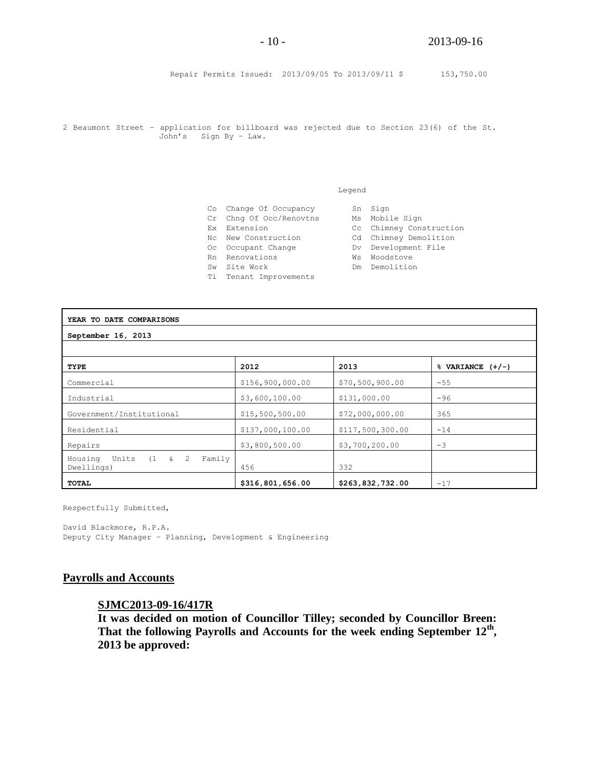Repair Permits Issued: 2013/09/05 To 2013/09/11 \$ 153,750.00

2 Beaumont Street – application for billboard was rejected due to Section 23(6) of the St. John's Sign By – Law.

#### Legend

- Co Change Of Occupancy Sn Sign
- Cr Chng Of Occ/Renovtns Ms Mobile Sign
- Ex Extension Cc Chimney Construction
- Nc New Construction Cd Chimney Demolition
- Oc Occupant Change The Dv Development File
- Rn Renovations **William William William Renovations**
- Sw Site Work **Demolition**
- Ti Tenant Improvements
- 
- 
- 
- 
- 

| YEAR TO DATE COMPARISONS                                |                  |                  |                       |
|---------------------------------------------------------|------------------|------------------|-----------------------|
| September 16, 2013                                      |                  |                  |                       |
|                                                         |                  |                  |                       |
| TYPE                                                    | 2012             | 2013             | $\%$ VARIANCE $(+/-)$ |
| Commercial                                              | \$156,900,000.00 | \$70,500,900.00  | $-55$                 |
| Industrial                                              | \$3,600,100.00   | \$131,000.00     | $-96$                 |
| Government/Institutional                                | \$15,500,500.00  | \$72,000,000.00  | 365                   |
| Residential                                             | \$137,000,100.00 | \$117,500,300.00 | $-14$                 |
| Repairs                                                 | \$3,800,500.00   | \$3,700,200.00   | $-3$                  |
| Units $(1 \t s \t 2$<br>Housing<br>Family<br>Dwellings) | 456              | 332              |                       |
| TOTAL                                                   | \$316,801,656.00 | \$263,832,732.00 | $-17$                 |

Respectfully Submitted,

David Blackmore, R.P.A. Deputy City Manager – Planning, Development & Engineering

### **Payrolls and Accounts**

### **SJMC2013-09-16/417R**

**It was decided on motion of Councillor Tilley; seconded by Councillor Breen: That the following Payrolls and Accounts for the week ending September 12th , 2013 be approved:**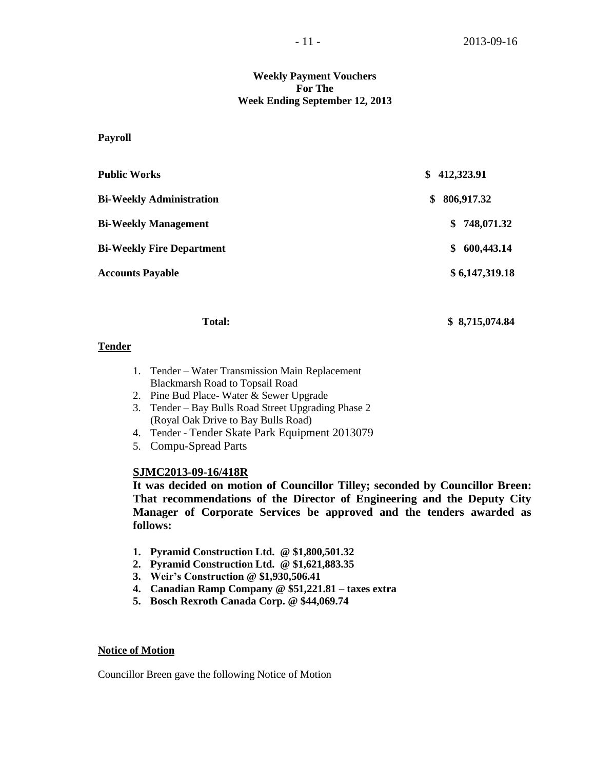### **Weekly Payment Vouchers For The Week Ending September 12, 2013**

**Payroll**

| <b>Public Works</b>              | 412,323.91<br>S.  |
|----------------------------------|-------------------|
| <b>Bi-Weekly Administration</b>  | \$806,917.32      |
| <b>Bi-Weekly Management</b>      | \$748,071.32      |
| <b>Bi-Weekly Fire Department</b> | 600,443.14<br>\$. |
| <b>Accounts Payable</b>          | \$6,147,319.18    |
|                                  |                   |

#### **Total: \$ 8,715,074.84**

### **Tender**

- 1. Tender Water Transmission Main Replacement Blackmarsh Road to Topsail Road
- 2. Pine Bud Place- Water & Sewer Upgrade
- 3. Tender Bay Bulls Road Street Upgrading Phase 2 (Royal Oak Drive to Bay Bulls Road)
- 4. Tender Tender Skate Park Equipment 2013079
- 5. Compu-Spread Parts

## **SJMC2013-09-16/418R**

**It was decided on motion of Councillor Tilley; seconded by Councillor Breen: That recommendations of the Director of Engineering and the Deputy City Manager of Corporate Services be approved and the tenders awarded as follows:**

- **1. Pyramid Construction Ltd. @ \$1,800,501.32**
- **2. Pyramid Construction Ltd. @ \$1,621,883.35**
- **3. Weir's Construction @ \$1,930,506.41**
- **4. Canadian Ramp Company @ \$51,221.81 – taxes extra**
- **5. Bosch Rexroth Canada Corp. @ \$44,069.74**

### **Notice of Motion**

Councillor Breen gave the following Notice of Motion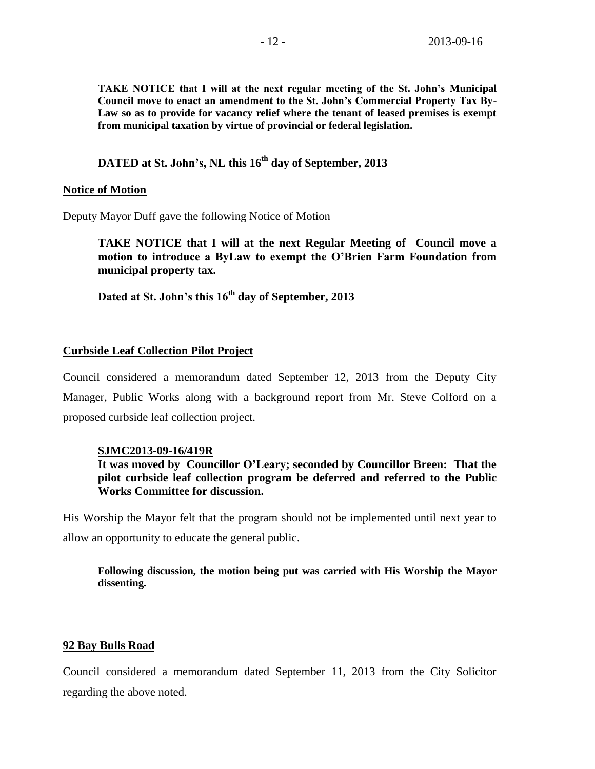**TAKE NOTICE that I will at the next regular meeting of the St. John's Municipal Council move to enact an amendment to the St. John's Commercial Property Tax By-Law so as to provide for vacancy relief where the tenant of leased premises is exempt from municipal taxation by virtue of provincial or federal legislation.**

# **DATED at St. John's, NL this 16th day of September, 2013**

### **Notice of Motion**

Deputy Mayor Duff gave the following Notice of Motion

**TAKE NOTICE that I will at the next Regular Meeting of Council move a motion to introduce a ByLaw to exempt the O'Brien Farm Foundation from municipal property tax.**

**Dated at St. John's this 16th day of September, 2013**

### **Curbside Leaf Collection Pilot Project**

Council considered a memorandum dated September 12, 2013 from the Deputy City Manager, Public Works along with a background report from Mr. Steve Colford on a proposed curbside leaf collection project.

### **SJMC2013-09-16/419R**

**It was moved by Councillor O'Leary; seconded by Councillor Breen: That the pilot curbside leaf collection program be deferred and referred to the Public Works Committee for discussion.** 

His Worship the Mayor felt that the program should not be implemented until next year to allow an opportunity to educate the general public.

**Following discussion, the motion being put was carried with His Worship the Mayor dissenting.**

### **92 Bay Bulls Road**

Council considered a memorandum dated September 11, 2013 from the City Solicitor regarding the above noted.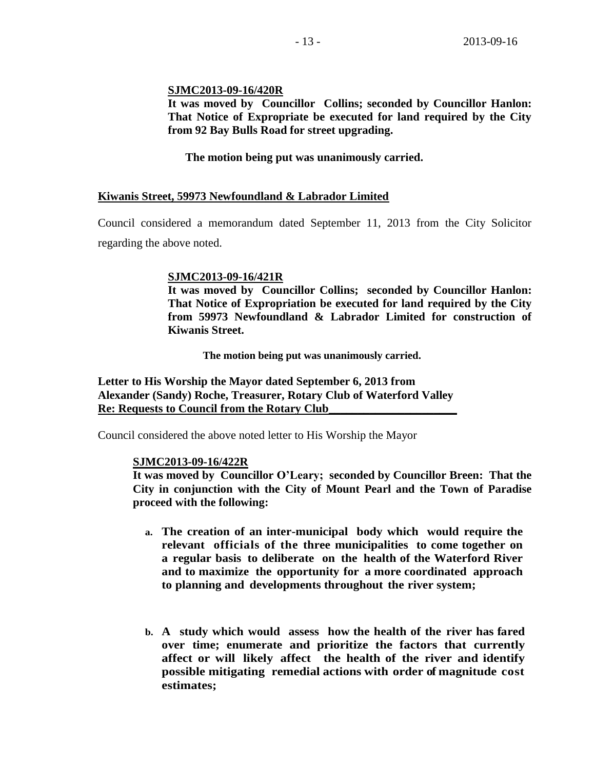## **SJMC2013-09-16/420R**

**It was moved by Councillor Collins; seconded by Councillor Hanlon: That Notice of Expropriate be executed for land required by the City from 92 Bay Bulls Road for street upgrading.**

**The motion being put was unanimously carried.**

## **Kiwanis Street, 59973 Newfoundland & Labrador Limited**

Council considered a memorandum dated September 11, 2013 from the City Solicitor regarding the above noted.

### **SJMC2013-09-16/421R**

**It was moved by Councillor Collins; seconded by Councillor Hanlon: That Notice of Expropriation be executed for land required by the City from 59973 Newfoundland & Labrador Limited for construction of Kiwanis Street.**

**The motion being put was unanimously carried.**

**Letter to His Worship the Mayor dated September 6, 2013 from Alexander (Sandy) Roche, Treasurer, Rotary Club of Waterford Valley Re: Requests to Council from the Rotary Club\_\_\_\_\_\_\_\_\_\_\_\_\_\_\_\_\_\_\_\_\_\_** 

Council considered the above noted letter to His Worship the Mayor

### **SJMC2013-09-16/422R**

**It was moved by Councillor O'Leary; seconded by Councillor Breen: That the City in conjunction with the City of Mount Pearl and the Town of Paradise proceed with the following:**

- **a. The creation of an inter-municipal body which would require the relevant officials of the three municipalities to come together on a regular basis to deliberate on the health of the Waterford River and to maximize the opportunity for a more coordinated approach to planning and developments throughout the river system;**
- **b. A study which would assess how the health of the river has fared over time; enumerate and prioritize the factors that currently affect or will likely affect the health of the river and identify possible mitigating remedial actions with order of magnitude cost estimates;**